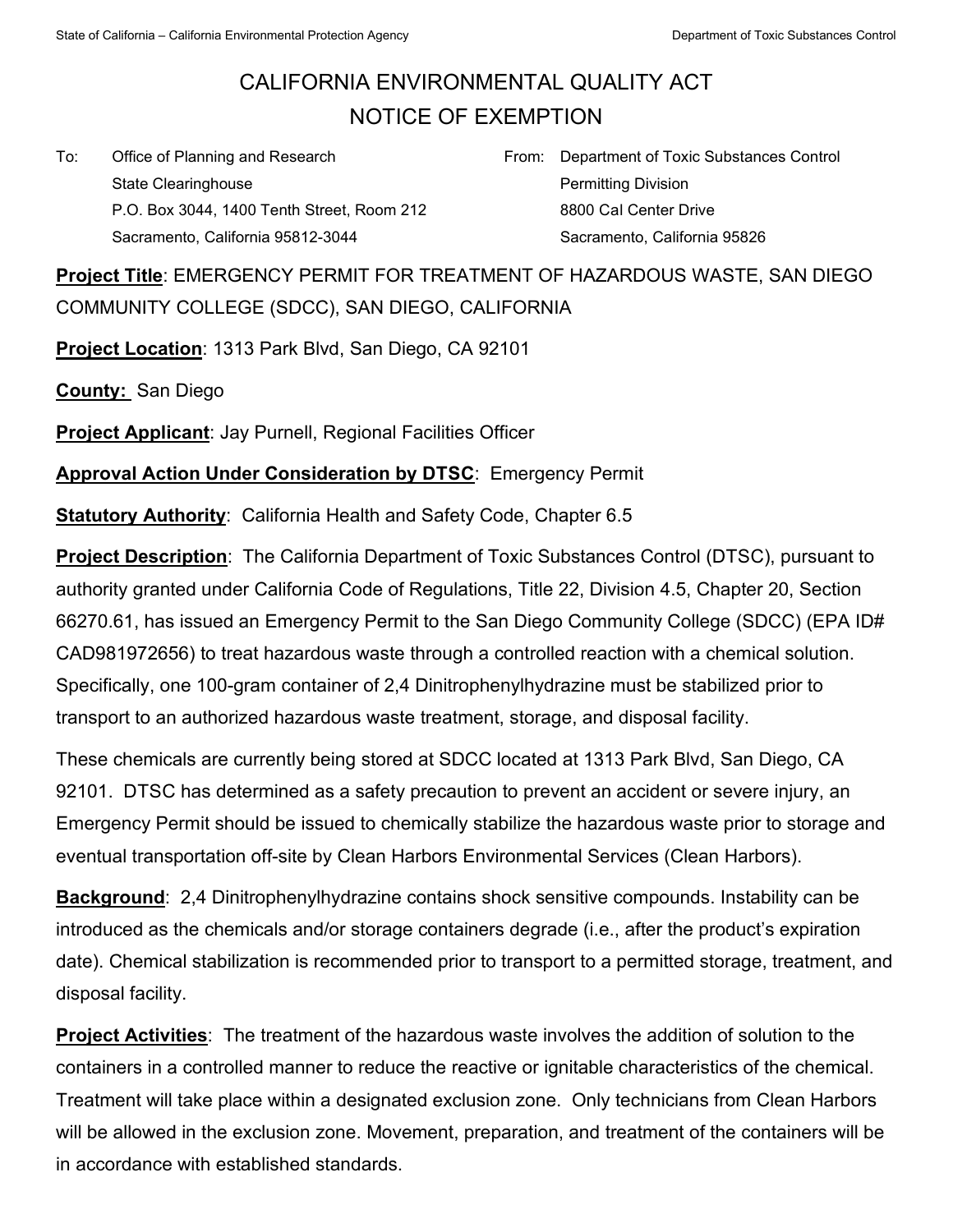## CALIFORNIA ENVIRONMENTAL QUALITY ACT NOTICE OF EXEMPTION

To: Office of Planning and Research State Clearinghouse P.O. Box 3044, 1400 Tenth Street, Room 212 Sacramento, California 95812-3044

From: Department of Toxic Substances Control Permitting Division 8800 Cal Center Drive Sacramento, California 95826

**Project Title**: EMERGENCY PERMIT FOR TREATMENT OF HAZARDOUS WASTE, SAN DIEGO COMMUNITY COLLEGE (SDCC), SAN DIEGO, CALIFORNIA

**Project Location**: 1313 Park Blvd, San Diego, CA 92101

**County:** San Diego

**Project Applicant:** Jay Purnell, Regional Facilities Officer

**Approval Action Under Consideration by DTSC**: Emergency Permit

**Statutory Authority: California Health and Safety Code, Chapter 6.5** 

**Project Description**: The California Department of Toxic Substances Control (DTSC), pursuant to authority granted under California Code of Regulations, Title 22, Division 4.5, Chapter 20, Section 66270.61, has issued an Emergency Permit to the San Diego Community College (SDCC) (EPA ID# CAD981972656) to treat hazardous waste through a controlled reaction with a chemical solution. Specifically, one 100-gram container of 2,4 Dinitrophenylhydrazine must be stabilized prior to transport to an authorized hazardous waste treatment, storage, and disposal facility.

These chemicals are currently being stored at SDCC located at 1313 Park Blvd, San Diego, CA 92101. DTSC has determined as a safety precaution to prevent an accident or severe injury, an Emergency Permit should be issued to chemically stabilize the hazardous waste prior to storage and eventual transportation off-site by Clean Harbors Environmental Services (Clean Harbors).

**Background**: 2,4 Dinitrophenylhydrazine contains shock sensitive compounds. Instability can be introduced as the chemicals and/or storage containers degrade (i.e., after the product's expiration date). Chemical stabilization is recommended prior to transport to a permitted storage, treatment, and disposal facility.

**Project Activities**: The treatment of the hazardous waste involves the addition of solution to the containers in a controlled manner to reduce the reactive or ignitable characteristics of the chemical. Treatment will take place within a designated exclusion zone. Only technicians from Clean Harbors will be allowed in the exclusion zone. Movement, preparation, and treatment of the containers will be in accordance with established standards.